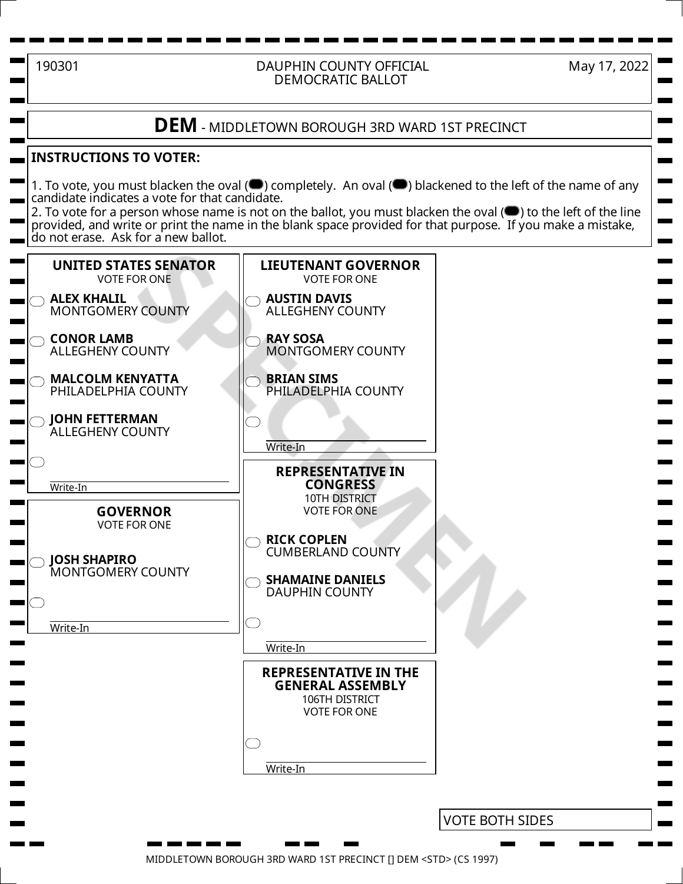## 190301 DAUPHIN COUNTY OFFICIAL DEMOCRATIC BALLOT

## **DEM** - MIDDLETOWN BOROUGH 3RD WARD 1ST PRECINCT **INSTRUCTIONS TO VOTER:** 1. To vote, you must blacken the oval ( $\blacksquare$ ) completely. An oval ( $\blacksquare$ ) blackened to the left of the name of any candidate indicates a vote for that candidate. 2. To vote for a person whose name is not on the ballot, you must blacken the oval ( $\blacksquare$ ) to the left of the line provided, and write or print the name in the blank space provided for that purpose. If you make a mistake, do not erase. Ask for a new ballot. **UNITED STATES SENATOR** VOTE FOR ONE **ALEX KHALIL** MONTGOMERY COUNTY **CONOR LAMB** ALLEGHENY COUNTY **MALCOLM KENYATTA** PHILADELPHIA COUNTY **JOHN FETTERMAN** ALLEGHENY COUNTY Write-In **GOVERNOR** VOTE FOR ONE **JOSH SHAPIRO** MONTGOMERY COUNTY Write-In **LIEUTENANT GOVERNOR** VOTE FOR ONE **AUSTIN DAVIS** ALLEGHENY COUNTY **RAY SOSA** MONTGOMERY COUNTY **BRIAN SIMS** PHILADELPHIA COUNTY Write-In **REPRESENTATIVE IN CONGRESS** 10TH DISTRICT VOTE FOR ONE **RICK COPLEN** CUMBERLAND COUNTY **SHAMAINE DANIELS** DAUPHIN COUNTY Write-In **REPRESENTATIVE IN THE GENERAL ASSEMBLY** 106TH DISTRICT VOTE FOR ONE Write-In

VOTE BOTH SIDES